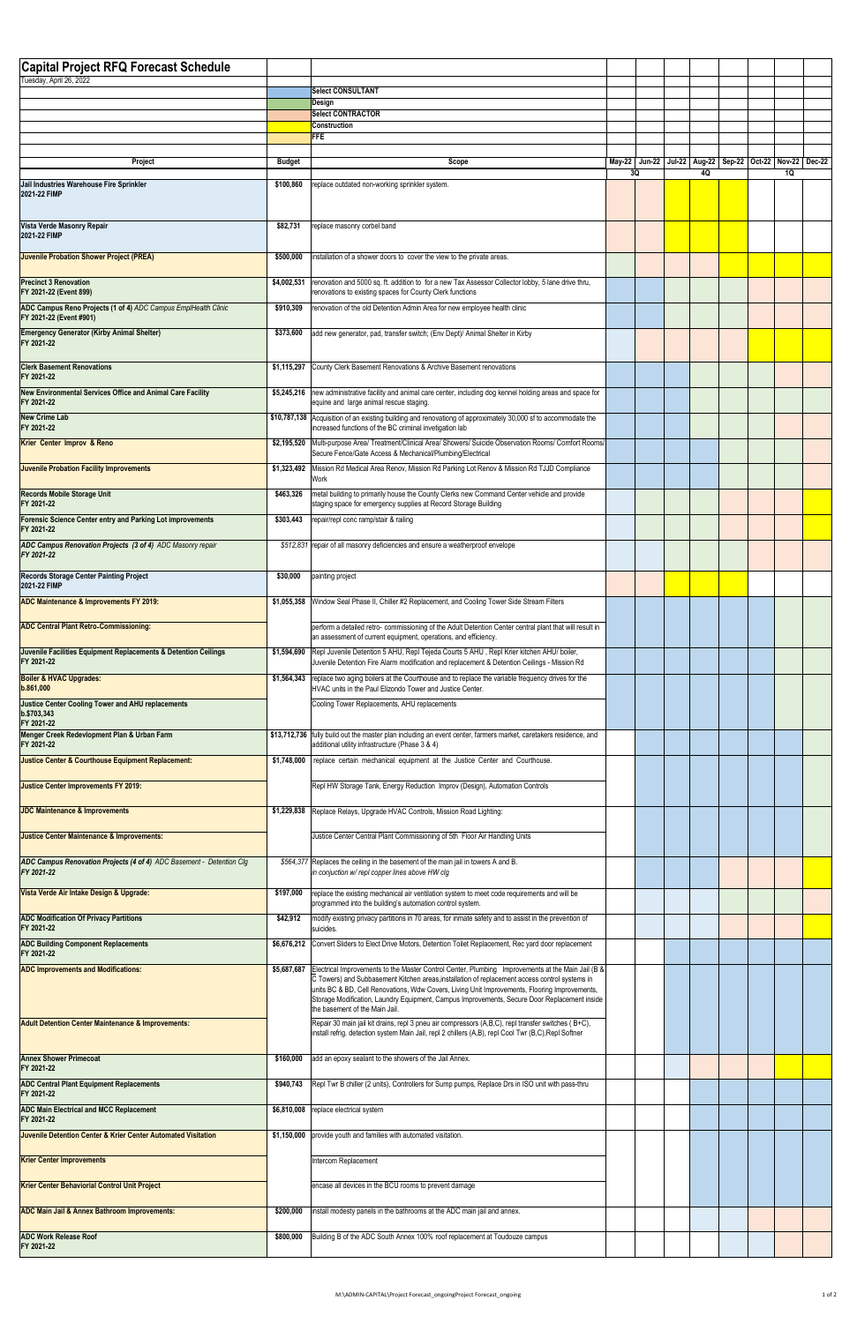| <b>Capital Project RFQ Forecast Schedule</b>                                             |               |                                                                                                                                                                                                                                                                                                 |    |  |  |                                                                             |  |  |    |  |
|------------------------------------------------------------------------------------------|---------------|-------------------------------------------------------------------------------------------------------------------------------------------------------------------------------------------------------------------------------------------------------------------------------------------------|----|--|--|-----------------------------------------------------------------------------|--|--|----|--|
| Tuesday, April 26, 2022                                                                  |               | <b>Select CONSULTANT</b>                                                                                                                                                                                                                                                                        |    |  |  |                                                                             |  |  |    |  |
|                                                                                          |               | Design                                                                                                                                                                                                                                                                                          |    |  |  |                                                                             |  |  |    |  |
|                                                                                          |               | <b>Select CONTRACTOR</b><br><b>Construction</b>                                                                                                                                                                                                                                                 |    |  |  |                                                                             |  |  |    |  |
|                                                                                          |               | <b>FFE</b>                                                                                                                                                                                                                                                                                      |    |  |  |                                                                             |  |  |    |  |
| Project                                                                                  | <b>Budget</b> | Scope                                                                                                                                                                                                                                                                                           | 3Q |  |  | May-22   Jun-22   Jul-22   Aug-22   Sep-22   Oct-22   Nov-22   Dec-22<br>40 |  |  | 1Q |  |
| Jail Industries Warehouse Fire Sprinkler<br>2021-22 FIMP                                 | \$100,860     | replace outdated non-working sprinkler system.                                                                                                                                                                                                                                                  |    |  |  |                                                                             |  |  |    |  |
| Vista Verde Masonry Repair<br>2021-22 FIMP                                               | \$82,731      | replace masonry corbel band                                                                                                                                                                                                                                                                     |    |  |  |                                                                             |  |  |    |  |
| <b>Juvenile Probation Shower Project (PREA)</b>                                          | \$500,000     | installation of a shower doors to cover the view to the private areas.                                                                                                                                                                                                                          |    |  |  |                                                                             |  |  |    |  |
| <b>Precinct 3 Renovation</b>                                                             | \$4,002,531   | renovation and 5000 sq. ft. addition to for a new Tax Assessor Collector lobby, 5 lane drive thru,                                                                                                                                                                                              |    |  |  |                                                                             |  |  |    |  |
| FY 2021-22 (Event 899)<br>ADC Campus Reno Projects (1 of 4) ADC Campus EmplHealth Clinic | \$910,309     | renovations to existing spaces for County Clerk functions<br>renovation of the old Detention Admin Area for new employee health clinic                                                                                                                                                          |    |  |  |                                                                             |  |  |    |  |
| FY 2021-22 (Event #901)<br><b>Emergency Generator (Kirby Animal Shelter)</b>             | \$373,600     | add new generator, pad, transfer switch; (Env Dept)/ Animal Shelter in Kirby                                                                                                                                                                                                                    |    |  |  |                                                                             |  |  |    |  |
| FY 2021-22                                                                               |               |                                                                                                                                                                                                                                                                                                 |    |  |  |                                                                             |  |  |    |  |
| <b>Clerk Basement Renovations</b><br>FY 2021-22                                          | \$1,115,297   | County Clerk Basement Renovations & Archive Basement renovations                                                                                                                                                                                                                                |    |  |  |                                                                             |  |  |    |  |
| New Environmental Services Office and Animal Care Facility<br>FY 2021-22                 |               | \$5,245,216 new administrative facility and animal care center, including dog kennel holding areas and space for<br>equine and large animal rescue staging.                                                                                                                                     |    |  |  |                                                                             |  |  |    |  |
| <b>New Crime Lab</b><br>FY 2021-22                                                       |               | \$10,787,138 Acquisition of an existing building and renovationg of approximately 30,000 sf to accommodate the<br>increased functions of the BC criminal invetigation lab                                                                                                                       |    |  |  |                                                                             |  |  |    |  |
| Krier Center Improv & Reno                                                               | \$2,195,520   | Multi-purpose Area/ Treatment/Clinical Area/ Showers/ Suicide Observation Rooms/ Comfort Rooms/<br>Secure Fence/Gate Access & Mechanical/Plumbing/Electrical                                                                                                                                    |    |  |  |                                                                             |  |  |    |  |
| Juvenile Probation Facility Improvements                                                 | \$1,323,492   | Mission Rd Medical Area Renov, Mission Rd Parking Lot Renov & Mission Rd TJJD Compliance<br>Work                                                                                                                                                                                                |    |  |  |                                                                             |  |  |    |  |
| <b>Records Mobile Storage Unit</b><br>FY 2021-22                                         | \$463,326     | metal building to primarily house the County Clerks new Command Center vehicle and provide<br>staging space for emergency supplies at Record Storage Building                                                                                                                                   |    |  |  |                                                                             |  |  |    |  |
| Forensic Science Center entry and Parking Lot improvements                               | \$303,443     | repair/repl conc ramp/stair & railing                                                                                                                                                                                                                                                           |    |  |  |                                                                             |  |  |    |  |
| FY 2021-22<br>ADC Campus Renovation Projects (3 of 4) ADC Masonry repair                 |               | \$512,831 repair of all masonry deficiencies and ensure a weatherproof envelope                                                                                                                                                                                                                 |    |  |  |                                                                             |  |  |    |  |
| FY 2021-22                                                                               |               |                                                                                                                                                                                                                                                                                                 |    |  |  |                                                                             |  |  |    |  |
| <b>Records Storage Center Painting Project</b><br>2021-22 FIMP                           | \$30,000      | painting project                                                                                                                                                                                                                                                                                |    |  |  |                                                                             |  |  |    |  |
| ADC Maintenance & Improvements FY 2019:                                                  | \$1,055,358   | Window Seal Phase II, Chiller #2 Replacement, and Cooling Tower Side Stream Filters                                                                                                                                                                                                             |    |  |  |                                                                             |  |  |    |  |
| <b>ADC Central Plant Retro-Commissioning:</b>                                            |               | perform a detailed retro- commissioning of the Adult Detention Center central plant that will result in<br>an assessment of current equipment, operations, and efficiency.                                                                                                                      |    |  |  |                                                                             |  |  |    |  |
| Juvenile Facilities Equipment Replacements & Detention Ceilings<br>FY 2021-22            | \$1,594,690   | Repl Juvenile Detention 5 AHU, Repl Tejeda Courts 5 AHU, Repl Krier kitchen AHU/ boiler,<br>Juvenile Detention Fire Alarm modification and replacement & Detention Ceilings - Mission Rd                                                                                                        |    |  |  |                                                                             |  |  |    |  |
| <b>Boiler &amp; HVAC Upgrades:</b><br>b.861,000                                          | \$1,564,343   | replace two aging boilers at the Courthouse and to replace the variable frequency drives for the<br>HVAC units in the Paul Elizondo Tower and Justice Center.                                                                                                                                   |    |  |  |                                                                             |  |  |    |  |
| <b>Justice Center Cooling Tower and AHU replacements</b><br>b.\$703,343                  |               | Cooling Tower Replacements, AHU replacements                                                                                                                                                                                                                                                    |    |  |  |                                                                             |  |  |    |  |
| FY 2021-22<br>Menger Creek Redevlopment Plan & Urban Farm                                |               | \$13,712,736 fully build out the master plan including an event center, farmers market, caretakers residence, and                                                                                                                                                                               |    |  |  |                                                                             |  |  |    |  |
| FY 2021-22<br>Justice Center & Courthouse Equipment Replacement:                         | \$1,748,000   | additional utility infrastructure (Phase 3 & 4)<br>replace certain mechanical equipment at the Justice Center and Courthouse.                                                                                                                                                                   |    |  |  |                                                                             |  |  |    |  |
| Justice Center Improvements FY 2019:                                                     |               | Repl HW Storage Tank, Energy Reduction Improv (Design), Automation Controls                                                                                                                                                                                                                     |    |  |  |                                                                             |  |  |    |  |
| <b>JDC Maintenance &amp; Improvements</b>                                                |               |                                                                                                                                                                                                                                                                                                 |    |  |  |                                                                             |  |  |    |  |
|                                                                                          | \$1,229,838   | Replace Relays, Upgrade HVAC Controls, Mission Road Lighting:                                                                                                                                                                                                                                   |    |  |  |                                                                             |  |  |    |  |
| Justice Center Maintenance & Improvements:                                               |               | Justice Center Central Plant Commissioning of 5th Floor Air Handling Units                                                                                                                                                                                                                      |    |  |  |                                                                             |  |  |    |  |
| ADC Campus Renovation Projects (4 of 4) ADC Basement - Detention Clg<br>FY 2021-22       |               | \$564,377 Replaces the ceiling in the basement of the main jail in towers A and B.<br>in conjuction w/ repl copper lines above HW clg                                                                                                                                                           |    |  |  |                                                                             |  |  |    |  |
| Vista Verde Air Intake Design & Upgrade:                                                 | \$197,000     | replace the existing mechanical air ventilation system to meet code requirements and will be<br>programmed into the building's automation control system.                                                                                                                                       |    |  |  |                                                                             |  |  |    |  |
| <b>ADC Modification Of Privacy Partitions</b><br>FY 2021-22                              | \$42,912      | modify existing privacy partitions in 70 areas, for inmate safety and to assist in the prevention of<br>suicides.                                                                                                                                                                               |    |  |  |                                                                             |  |  |    |  |
| <b>ADC Building Component Replacements</b><br>FY 2021-22                                 |               | \$6,676,212 Convert Sliders to Elect Drive Motors, Detention Toilet Replacement, Rec yard door replacement                                                                                                                                                                                      |    |  |  |                                                                             |  |  |    |  |
| <b>ADC Improvements and Modifications:</b>                                               | \$5,687,687   | Electrical Improvements to the Master Control Center, Plumbing Improvements at the Main Jail (B &                                                                                                                                                                                               |    |  |  |                                                                             |  |  |    |  |
|                                                                                          |               | C Towers) and Subbasement Kitchen areas, installation of replacement access control systems in<br>units BC & BD, Cell Renovations, Wdw Covers, Living Unit Improvements, Flooring Improvements,<br>Storage Modification, Laundry Equipment, Campus Improvements, Secure Door Replacement inside |    |  |  |                                                                             |  |  |    |  |
| <b>Adult Detention Center Maintenance &amp; Improvements:</b>                            |               | the basement of the Main Jail.<br>Repair 30 main jail kit drains, repl 3 pneu air compressors (A,B,C), repl transfer switches (B+C),<br>install refrig. detection system Main Jail, repl 2 chillers (A,B), repl Cool Twr (B,C), Repl Softner                                                    |    |  |  |                                                                             |  |  |    |  |
| <b>Annex Shower Primecoat</b>                                                            | \$160,000     | add an epoxy sealant to the showers of the Jail Annex.                                                                                                                                                                                                                                          |    |  |  |                                                                             |  |  |    |  |
| FY 2021-22<br><b>ADC Central Plant Equipment Replacements</b>                            | \$940,743     | Repl Twr B chiller (2 units), Controllers for Sump pumps, Replace Drs in ISO unit with pass-thru                                                                                                                                                                                                |    |  |  |                                                                             |  |  |    |  |
| FY 2021-22<br><b>ADC Main Electrical and MCC Replacement</b>                             | \$6,810,008   | replace electrical system                                                                                                                                                                                                                                                                       |    |  |  |                                                                             |  |  |    |  |
| FY 2021-22<br>Juvenile Detention Center & Krier Center Automated Visitation              | \$1,150,000   | provide youth and families with automated visitation.                                                                                                                                                                                                                                           |    |  |  |                                                                             |  |  |    |  |
| <b>Krier Center Improvements</b>                                                         |               | Intercom Replacement                                                                                                                                                                                                                                                                            |    |  |  |                                                                             |  |  |    |  |
| <b>Krier Center Behaviorial Control Unit Project</b>                                     |               | encase all devices in the BCU rooms to prevent damage                                                                                                                                                                                                                                           |    |  |  |                                                                             |  |  |    |  |
| <b>ADC Main Jail &amp; Annex Bathroom Improvements:</b>                                  | \$200,000     | install modesty panels in the bathrooms at the ADC main jail and annex.                                                                                                                                                                                                                         |    |  |  |                                                                             |  |  |    |  |
|                                                                                          |               |                                                                                                                                                                                                                                                                                                 |    |  |  |                                                                             |  |  |    |  |
| <b>ADC Work Release Roof</b><br>FY 2021-22                                               | \$800,000     | Building B of the ADC South Annex 100% roof replacement at Toudouze campus                                                                                                                                                                                                                      |    |  |  |                                                                             |  |  |    |  |